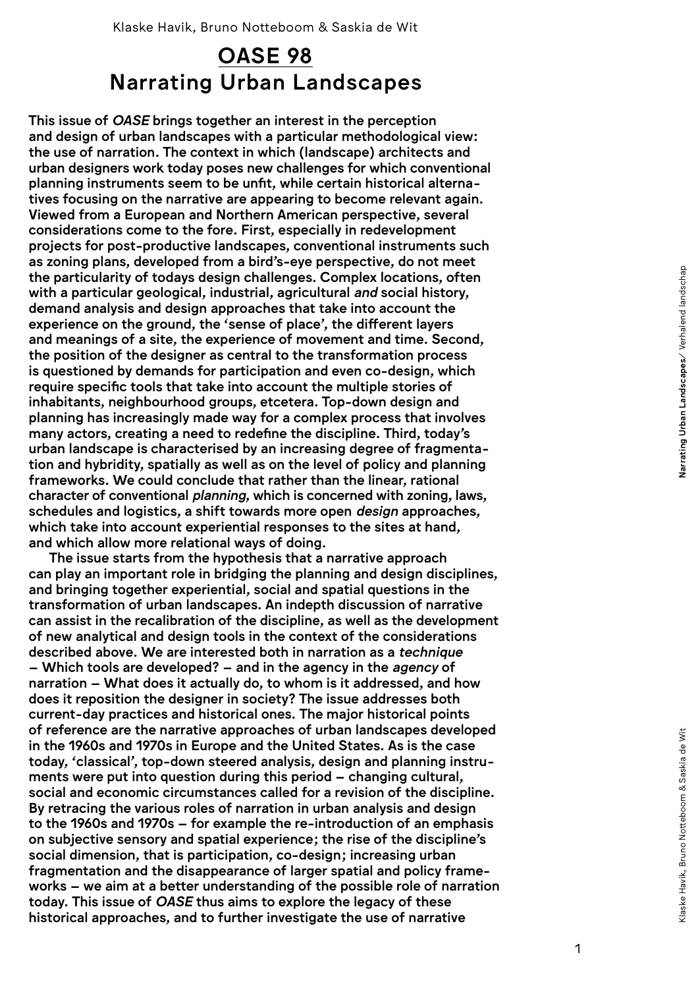## Narrating Urban Landscapes OASE 98

This issue of *OASE* brings together an interest in the perception and design of urban landscapes with a particular methodological view: the use of narration. The context in which (landscape) architects and urban designers work today poses new challenges for which conventional planning instruments seem to be unfit, while certain historical alterna tives focusing on the narrative are appearing to become relevant again. Viewed from a European and Northern American perspective, several considerations come to the fore. First, especially in redevelopment projects for post-productive landscapes, conventional instruments such as zoning plans, developed from a bird's-eye perspective, do not meet the particularity of todays design challenges. Complex locations, often with a particular geological, industrial, agricultural *and* social history, demand analysis and design approaches that take into account the experience on the ground, the 'sense of place', the different layers and meanings of a site, the experience of movement and time. Second, the position of the designer as central to the transformation process is questioned by demands for participation and even co-design, which require specific tools that take into account the multiple stories of inhabitants, neighbourhood groups, etcetera. Top-down design and planning has increasingly made way for a complex process that involves many actors, creating a need to redefine the discipline. Third, today's urban landscape is characterised by an increasing degree of fragmenta tion and hybridity, spatially as well as on the level of policy and planning frameworks. We could conclude that rather than the linear, rational character of conventional *planning*, which is concerned with zoning, laws, schedules and logistics, a shift towards more open *design* approaches, which take into account experiential responses to the sites at hand, and which allow more relational ways of doing.

The issue starts from the hypothesis that a narrative approach can play an important role in bridging the planning and design disciplines, and bringing together experiential, social and spatial questions in the transformation of urban landscapes. An indepth discussion of narrative can assist in the recalibration of the discipline, as well as the development of new analytical and design tools in the context of the considerations described above. We are interested both in narration as a *technique*  – Which tools are developed? – and in the agency in the *agency* of narration – What does it actually do, to whom is it addressed, and how does it reposition the designer in society? The issue addresses both current-day practices and historical ones. The major historical points of reference are the narrative approaches of urban landscapes developed in the 1960s and 1970s in Europe and the United States. As is the case today, 'classical', top-down steered analysis, design and planning instru ments were put into question during this period – changing cultural, social and economic circumstances called for a revision of the discipline. By retracing the various roles of narration in urban analysis and design to the 1960s and 1970s – for example the re-introduction of an emphasis on subjective sensory and spatial experience; the rise of the discipline's social dimension, that is participation, co-design; increasing urban fragmentation and the disappearance of larger spatial and policy frame works – we aim at a better understanding of the possible role of narration today. This issue of *OASE* thus aims to explore the legacy of these historical approaches, and to further investigate the use of narrative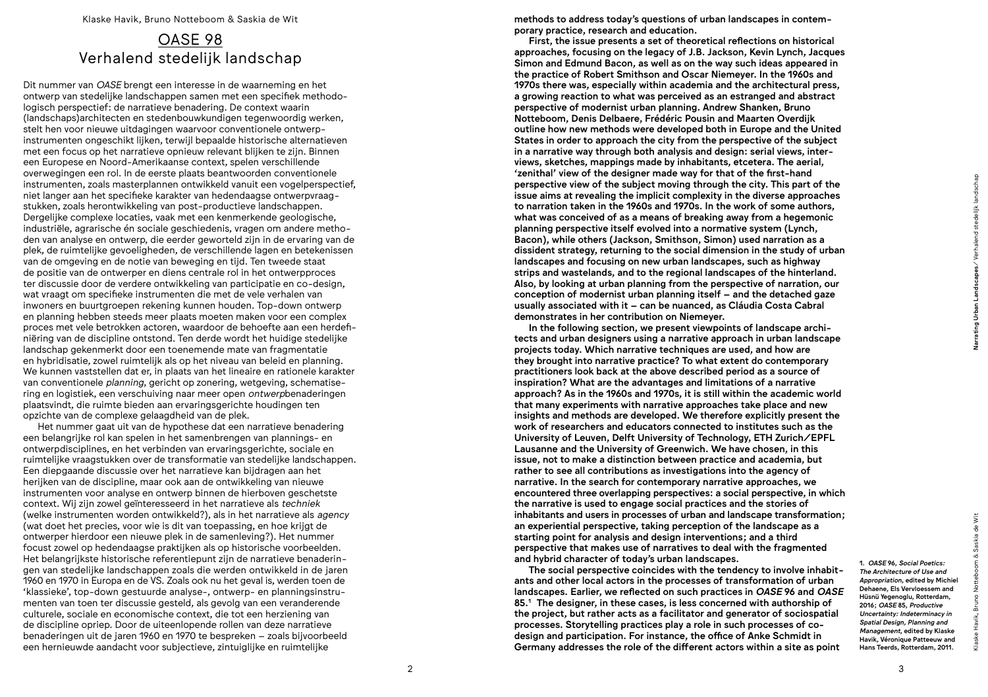## OASE 98 Verhalend stedelijk landschap

Dit nummer van *OASE* brengt een interesse in de waarneming en het ontwerp van stedelijke landschappen samen met een specifiek methodologisch perspectief: de narratieve benadering. De context waarin (landschaps)architecten en stedenbouwkundigen tegenwoordig werken, stelt hen voor nieuwe uitdagingen waarvoor conventionele ontwerpinstrumenten ongeschikt lijken, terwijl bepaalde historische alternatieven met een focus op het narratieve opnieuw relevant blijken te zijn. Binnen een Europese en Noord-Amerikaanse context, spelen verschillende overwegingen een rol. In de eerste plaats beantwoorden conventionele instrumenten, zoals masterplannen ontwikkeld vanuit een vogelperspectief, niet langer aan het specifieke karakter van hedendaagse ontwerpvraagstukken, zoals herontwikkeling van post-productieve landschappen. Dergelijke complexe locaties, vaak met een kenmerkende geologische, industriële, agrarische én sociale geschiedenis, vragen om andere methoden van analyse en ontwerp, die eerder geworteld zijn in de ervaring van de plek, de ruimtelijke gevoeligheden, de verschillende lagen en betekenissen van de omgeving en de notie van beweging en tijd. Ten tweede staat de positie van de ontwerper en diens centrale rol in het ontwerpproces ter discussie door de verdere ontwikkeling van participatie en co-design, wat vraagt om specifieke instrumenten die met de vele verhalen van inwoners en buurtgroepen rekening kunnen houden. Top-down ontwerp en planning hebben steeds meer plaats moeten maken voor een complex proces met vele betrokken actoren, waardoor de behoefte aan een herdefiniëring van de discipline ontstond. Ten derde wordt het huidige stedelijke landschap gekenmerkt door een toenemende mate van fragmentatie en hybridisatie, zowel ruimtelijk als op het niveau van beleid en planning. We kunnen vaststellen dat er, in plaats van het lineaire en rationele karakter van conventionele *planning*, gericht op zonering, wetgeving, schematisering en logistiek, een verschuiving naar meer open *ontwerp*benaderingen plaatsvindt, die ruimte bieden aan ervaringsgerichte houdingen ten opzichte van de complexe gelaagdheid van de plek.

Het nummer gaat uit van de hypothese dat een narratieve benadering een belangrijke rol kan spelen in het samenbrengen van plannings- en ontwerpdisciplines, en het verbinden van ervaringsgerichte, sociale en ruimtelijke vraagstukken over de transformatie van stedelijke landschappen. Een diepgaande discussie over het narratieve kan bijdragen aan het herijken van de discipline, maar ook aan de ontwikkeling van nieuwe instrumenten voor analyse en ontwerp binnen de hierboven geschetste context. Wij zijn zowel geïnteresseerd in het narratieve als *techniek* (welke instrumenten worden ontwikkeld?), als in het narratieve als *agency* (wat doet het precies, voor wie is dit van toepassing, en hoe krijgt de ontwerper hierdoor een nieuwe plek in de samenleving?). Het nummer focust zowel op hedendaagse praktijken als op historische voorbeelden. Het belangrijkste historische referentiepunt zijn de narratieve benaderingen van stedelijke landschappen zoals die werden ontwikkeld in de jaren 1960 en 1970 in Europa en de VS. Zoals ook nu het geval is, werden toen de 'klassieke', top-down gestuurde analyse-, ontwerp- en planningsinstrumenten van toen ter discussie gesteld, als gevolg van een veranderende culturele, sociale en economische context, die tot een herziening van de discipline opriep. Door de uiteenlopende rollen van deze narratieve benaderingen uit de jaren 1960 en 1970 te bespreken – zoals bijvoorbeeld een hernieuwde aandacht voor subjectieve, zintuiglijke en ruimtelijke

methods to address today's questions of urban landscapes in contemporary practice, research and education.

First, the issue presents a set of theoretical reflections on historical approaches, focusing on the legacy of J.B. Jackson, Kevin Lynch, Jacques Simon and Edmund Bacon, as well as on the way such ideas appeared in the practice of Robert Smithson and Oscar Niemeyer. In the 1960s and 1970s there was, especially within academia and the architectural press, a growing reaction to what was perceived as an estranged and abstract perspective of modernist urban planning. Andrew Shanken, Bruno Notteboom, Denis Delbaere, Frédéric Pousin and Maarten Overdijk outline how new methods were developed both in Europe and the United States in order to approach the city from the perspective of the subject in a narrative way through both analysis and design: serial views, interviews, sketches, mappings made by inhabitants, etcetera. The aerial, 'zenithal' view of the designer made way for that of the first-hand perspective view of the subject moving through the city. This part of the issue aims at revealing the implicit complexity in the diverse approaches to narration taken in the 1960s and 1970s. In the work of some authors, what was conceived of as a means of breaking away from a hegemonic planning perspective itself evolved into a normative system (Lynch, Bacon), while others (Jackson, Smithson, Simon) used narration as a dissident strategy, returning to the social dimension in the study of urban landscapes and focusing on new urban landscapes, such as highway strips and wastelands, and to the regional landscapes of the hinterland. Also, by looking at urban planning from the perspective of narration, our conception of modernist urban planning itself – and the detached gaze usually associated with it – can be nuanced, as Cláudia Costa Cabral demonstrates in her contribution on Niemeyer.

In the following section, we present viewpoints of landscape architects and urban designers using a narrative approach in urban landscape projects today. Which narrative techniques are used, and how are they brought into narrative practice? To what extent do contemporary practitioners look back at the above described period as a source of inspiration? What are the advantages and limitations of a narrative approach? As in the 1960s and 1970s, it is still within the academic world that many experiments with narrative approaches take place and new insights and methods are developed. We therefore explicitly present the work of researchers and educators connected to institutes such as the University of Leuven, Delft University of Technology, ETH Zurich/EPFL Lausanne and the University of Greenwich. We have chosen, in this issue, not to make a distinction between practice and academia, but rather to see all contributions as investigations into the agency of narrative. In the search for contemporary narrative approaches, we encountered three overlapping perspectives: a social perspective, in which the narrative is used to engage social practices and the stories of inhabitants and users in processes of urban and landscape transformation; an experiential perspective, taking perception of the landscape as a starting point for analysis and design interventions; and a third perspective that makes use of narratives to deal with the fragmented and hybrid character of today's urban landscapes.

The social perspective coincides with the tendency to involve inhabitants and other local actors in the processes of transformation of urban landscapes. Earlier, we reflected on such practices in *OASE* 96 and *OASE* 85.1 The designer, in these cases, is less concerned with authorship of the project, but rather acts as a facilitator and generator of sociospatial processes. Storytelling practices play a role in such processes of codesign and participation. For instance, the office of Anke Schmidt in Germany addresses the role of the different actors within a site as point

1. *OASE* 96, *Social Poetics: The Architecture of Use and Appropriation*, edited by Michiel Dehaene, Els Vervloessem and Hüsnü Yegenoglu, Rotterdam, 2016; *OASE* 85, *Productive Uncertainty: Indeterminacy in Spatial Design, Planning and Management*, edited by Klaske Havik, Véronique Patteeuw and Hans Teerds, Rotterdam, 2011.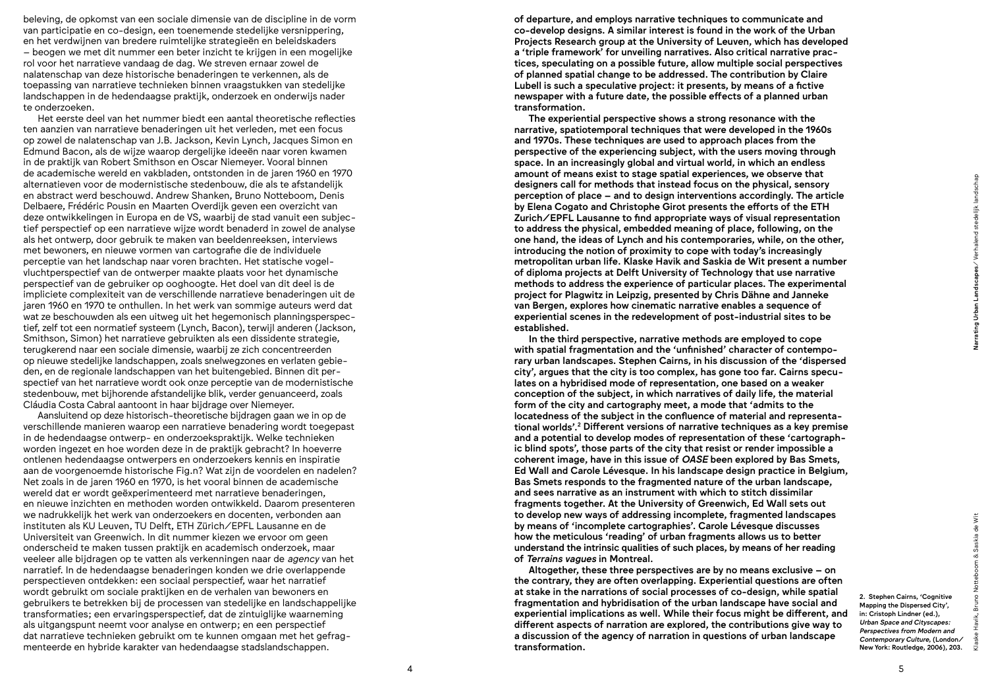beleving, de opkomst van een sociale dimensie van de discipline in de vorm van participatie en co-design, een toenemende stedelijke versnippering, en het verdwijnen van bredere ruimtelijke strategieën en beleidskaders – beogen we met dit nummer een beter inzicht te krijgen in een mogelijke rol voor het narratieve vandaag de dag. We streven ernaar zowel de nalatenschap van deze historische benaderingen te verkennen, als de toepassing van narratieve technieken binnen vraagstukken van stedelijke landschappen in de hedendaagse praktijk, onderzoek en onderwijs nader te onderzoeken.

Het eerste deel van het nummer biedt een aantal theoretische reflecties ten aanzien van narratieve benaderingen uit het verleden, met een focus op zowel de nalatenschap van J.B. Jackson, Kevin Lynch, Jacques Simon en Edmund Bacon, als de wijze waarop dergelijke ideeën naar voren kwamen in de praktijk van Robert Smithson en Oscar Niemeyer. Vooral binnen de academische wereld en vakbladen, ontstonden in de jaren 1960 en 1970 alternatieven voor de modernistische stedenbouw, die als te afstandelijk en abstract werd beschouwd. Andrew Shanken, Bruno Notteboom, Denis Delbaere, Frédéric Pousin en Maarten Overdijk geven een overzicht van deze ontwikkelingen in Europa en de VS, waarbij de stad vanuit een subjectief perspectief op een narratieve wijze wordt benaderd in zowel de analyse als het ontwerp, door gebruik te maken van beeldenreeksen, interviews met bewoners, en nieuwe vormen van cartografie die de individuele perceptie van het landschap naar voren brachten. Het statische vogelvluchtperspectief van de ontwerper maakte plaats voor het dynamische perspectief van de gebruiker op ooghoogte. Het doel van dit deel is de impliciete complexiteit van de verschillende narratieve benaderingen uit de jaren 1960 en 1970 te onthullen. In het werk van sommige auteurs werd dat wat ze beschouwden als een uitweg uit het hegemonisch planningsperspectief, zelf tot een normatief systeem (Lynch, Bacon), terwijl anderen (Jackson, Smithson, Simon) het narratieve gebruikten als een dissidente strategie, terugkerend naar een sociale dimensie, waarbij ze zich concentreerden op nieuwe stedelijke landschappen, zoals snelwegzones en verlaten gebieden, en de regionale landschappen van het buitengebied. Binnen dit perspectief van het narratieve wordt ook onze perceptie van de modernistische stedenbouw, met bijhorende afstandelijke blik, verder genuanceerd, zoals Cláudia Costa Cabral aantoont in haar bijdrage over Niemeyer.

Aansluitend op deze historisch-theoretische bijdragen gaan we in op de verschillende manieren waarop een narratieve benadering wordt toegepast in de hedendaagse ontwerp- en onderzoekspraktijk. Welke technieken worden ingezet en hoe worden deze in de praktijk gebracht? In hoeverre ontlenen hedendaagse ontwerpers en onderzoekers kennis en inspiratie aan de voorgenoemde historische Fig.n? Wat zijn de voordelen en nadelen? Net zoals in de jaren 1960 en 1970, is het vooral binnen de academische wereld dat er wordt geëxperimenteerd met narratieve benaderingen, en nieuwe inzichten en methoden worden ontwikkeld. Daarom presenteren we nadrukkelijk het werk van onderzoekers en docenten, verbonden aan instituten als KU Leuven, TU Delft, ETH Zürich/EPFL Lausanne en de Universiteit van Greenwich. In dit nummer kiezen we ervoor om geen onderscheid te maken tussen praktijk en academisch onderzoek, maar veeleer alle bijdragen op te vatten als verkenningen naar de *agency* van het narratief. In de hedendaagse benaderingen konden we drie overlappende perspectieven ontdekken: een sociaal perspectief, waar het narratief wordt gebruikt om sociale praktijken en de verhalen van bewoners en gebruikers te betrekken bij de processen van stedelijke en landschappelijke transformaties; een ervaringsperspectief, dat de zintuiglijke waarneming als uitgangspunt neemt voor analyse en ontwerp; en een perspectief dat narratieve technieken gebruikt om te kunnen omgaan met het gefragmenteerde en hybride karakter van hedendaagse stadslandschappen.

of departure, and employs narrative techniques to communicate and co-develop designs. A similar interest is found in the work of the Urban Projects Research group at the University of Leuven, which has developed a 'triple framework' for unveiling narratives. Also critical narrative practices, speculating on a possible future, allow multiple social perspectives of planned spatial change to be addressed. The contribution by Claire Lubell is such a speculative project: it presents, by means of a fictive newspaper with a future date, the possible effects of a planned urban transformation.

The experiential perspective shows a strong resonance with the narrative, spatiotemporal techniques that were developed in the 1960s and 1970s. These techniques are used to approach places from the perspective of the experiencing subject, with the users moving through space. In an increasingly global and virtual world, in which an endless amount of means exist to stage spatial experiences, we observe that designers call for methods that instead focus on the physical, sensory perception of place – and to design interventions accordingly. The article by Elena Cogato and Christophe Girot presents the efforts of the ETH Zurich/EPFL Lausanne to find appropriate ways of visual representation to address the physical, embedded meaning of place, following, on the one hand, the ideas of Lynch and his contemporaries, while, on the other, introducing the notion of proximity to cope with today's increasingly metropolitan urban life. Klaske Havik and Saskia de Wit present a number of diploma projects at Delft University of Technology that use narrative methods to address the experience of particular places. The experimental project for Plagwitz in Leipzig, presented by Chris Dähne and Janneke van Bergen, explores how cinematic narrative enables a sequence of experiential scenes in the redevelopment of post-industrial sites to be established.

In the third perspective, narrative methods are employed to cope with spatial fragmentation and the 'unfinished' character of contemporary urban landscapes. Stephen Cairns, in his discussion of the 'dispersed city', argues that the city is too complex, has gone too far. Cairns speculates on a hybridised mode of representation, one based on a weaker conception of the subject, in which narratives of daily life, the material form of the city and cartography meet, a mode that 'admits to the locatedness of the subject in the confluence of material and representational worlds'.2 Different versions of narrative techniques as a key premise and a potential to develop modes of representation of these 'cartographic blind spots', those parts of the city that resist or render impossible a coherent image, have in this issue of *OASE* been explored by Bas Smets, Ed Wall and Carole Lévesque. In his landscape design practice in Belgium, Bas Smets responds to the fragmented nature of the urban landscape, and sees narrative as an instrument with which to stitch dissimilar fragments together. At the University of Greenwich, Ed Wall sets out to develop new ways of addressing incomplete, fragmented landscapes by means of 'incomplete cartographies'. Carole Lévesque discusses how the meticulous 'reading' of urban fragments allows us to better understand the intrinsic qualities of such places, by means of her reading of *Terrains vagues* in Montreal.

Altogether, these three perspectives are by no means exclusive – on the contrary, they are often overlapping. Experiential questions are often at stake in the narrations of social processes of co-design, while spatial fragmentation and hybridisation of the urban landscape have social and experiential implications as well. While their focus might be different, and different aspects of narration are explored, the contributions give way to a discussion of the agency of narration in questions of urban landscape transformation.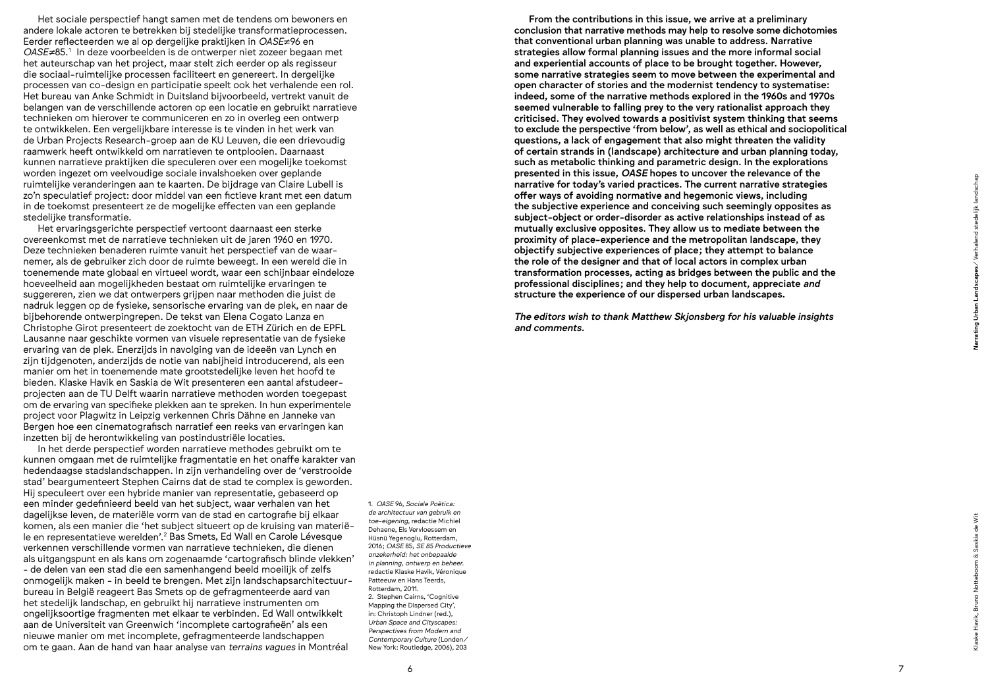Het sociale perspectief hangt samen met de tendens om bewoners en andere lokale actoren te betrekken bij stedelijke transformatieprocessen. Eerder reflecteerden we al op dergelijke praktijken in *OASE*≠96 en *OASE≠*85.1 In deze voorbeelden is de ontwerper niet zozeer begaan met het auteurschap van het project, maar stelt zich eerder op als regisseur die sociaal-ruimtelijke processen faciliteert en genereert. In dergelijke processen van co-design en participatie speelt ook het verhalende een rol. Het bureau van Anke Schmidt in Duitsland bijvoorbeeld, vertrekt vanuit de belangen van de verschillende actoren op een locatie en gebruikt narratieve technieken om hierover te communiceren en zo in overleg een ontwerp te ontwikkelen. Een vergelijkbare interesse is te vinden in het werk van de Urban Projects Research-groep aan de KU Leuven, die een drievoudig raamwerk heeft ontwikkeld om narratieven te ontplooien. Daarnaast kunnen narratieve praktijken die speculeren over een mogelijke toekomst worden ingezet om veelvoudige sociale invalshoeken over geplande ruimtelijke veranderingen aan te kaarten. De bijdrage van Claire Lubell is zo'n speculatief project: door middel van een fictieve krant met een datum in de toekomst presenteert ze de mogelijke effecten van een geplande stedelijke transformatie.

Het ervaringsgerichte perspectief vertoont daarnaast een sterke overeenkomst met de narratieve technieken uit de jaren 1960 en 1970. Deze technieken benaderen ruimte vanuit het perspectief van de waarnemer, als de gebruiker zich door de ruimte beweegt. In een wereld die in toenemende mate globaal en virtueel wordt, waar een schijnbaar eindeloze hoeveelheid aan mogelijkheden bestaat om ruimtelijke ervaringen te suggereren, zien we dat ontwerpers grijpen naar methoden die juist de nadruk leggen op de fysieke, sensorische ervaring van de plek, en naar de bijbehorende ontwerpingrepen. De tekst van Elena Cogato Lanza en Christophe Girot presenteert de zoektocht van de ETH Zürich en de EPFL Lausanne naar geschikte vormen van visuele representatie van de fysieke ervaring van de plek. Enerzijds in navolging van de ideeën van Lynch en zijn tijdgenoten, anderzijds de notie van nabijheid introducerend, als een manier om het in toenemende mate grootstedelijke leven het hoofd te bieden. Klaske Havik en Saskia de Wit presenteren een aantal afstudeerprojecten aan de TU Delft waarin narratieve methoden worden toegepast om de ervaring van specifieke plekken aan te spreken. In hun experimentele project voor Plagwitz in Leipzig verkennen Chris Dähne en Janneke van Bergen hoe een cinematografisch narratief een reeks van ervaringen kan inzetten bij de herontwikkeling van postindustriële locaties.

In het derde perspectief worden narratieve methodes gebruikt om te kunnen omgaan met de ruimtelijke fragmentatie en het onaffe karakter van hedendaagse stadslandschappen. In zijn verhandeling over de 'verstrooide stad' beargumenteert Stephen Cairns dat de stad te complex is geworden. Hij speculeert over een hybride manier van representatie, gebaseerd op een minder gedefinieerd beeld van het subject, waar verhalen van het dagelijkse leven, de materiële vorm van de stad en cartografie bij elkaar komen, als een manier die 'het subject situeert op de kruising van materiële en representatieve werelden'.<sup>2</sup> Bas Smets, Ed Wall en Carole Lévesque verkennen verschillende vormen van narratieve technieken, die dienen als uitgangspunt en als kans om zogenaamde 'cartografisch blinde vlekken' − de delen van een stad die een samenhangend beeld moeilijk of zelfs onmogelijk maken − in beeld te brengen. Met zijn landschapsarchitectuurbureau in België reageert Bas Smets op de gefragmenteerde aard van het stedelijk landschap, en gebruikt hij narratieve instrumenten om ongelijksoortige fragmenten met elkaar te verbinden. Ed Wall ontwikkelt aan de Universiteit van Greenwich 'incomplete cartografieën' als een nieuwe manier om met incomplete, gefragmenteerde landschappen om te gaan. Aan de hand van haar analyse van *terrains vagues* in Montréal

1. *OASE* 96, *Sociale Poëtica: de architectuur van gebruik en toe-eigening*, redactie Michiel Dehaene, Els Vervloessem en Hüsnü Yegenoglu, Rotterdam, 2016; *OASE* 85, *SE 85 Productieve onzekerheid: het onbepaalde in planning, ontwerp en beheer.* redactie Klaske Havik, Véronique Patteeuw en Hans Teerds, Rotterdam, 2011. 2. Stephen Cairns, 'Cognitive Mapping the Dispersed City', in: Christoph Lindner (red.), *Urban Space and Cityscapes: Perspectives from Modern and Contemporary Culture* (Londen/ New York: Routledge, 2006), 203

From the contributions in this issue, we arrive at a preliminary conclusion that narrative methods may help to resolve some dichotomies that conventional urban planning was unable to address. Narrative strategies allow formal planning issues and the more informal social and experiential accounts of place to be brought together. However, some narrative strategies seem to move between the experimental and open character of stories and the modernist tendency to systematise: indeed, some of the narrative methods explored in the 1960s and 1970s seemed vulnerable to falling prey to the very rationalist approach they criticised. They evolved towards a positivist system thinking that seems to exclude the perspective 'from below', as well as ethical and sociopolitical questions, a lack of engagement that also might threaten the validity of certain strands in (landscape) architecture and urban planning today, such as metabolic thinking and parametric design. In the explorations presented in this issue, *OASE* hopes to uncover the relevance of the narrative for today's varied practices. The current narrative strategies offer ways of avoiding normative and hegemonic views, including the subjective experience and conceiving such seemingly opposites as subject-object or order-disorder as active relationships instead of as mutually exclusive opposites. They allow us to mediate between the proximity of place-experience and the metropolitan landscape, they objectify subjective experiences of place; they attempt to balance the role of the designer and that of local actors in complex urban transformation processes, acting as bridges between the public and the professional disciplines; and they help to document, appreciate *and* structure the experience of our dispersed urban landscapes.

*The editors wish to thank Matthew Skjonsberg for his valuable insights and comments.*